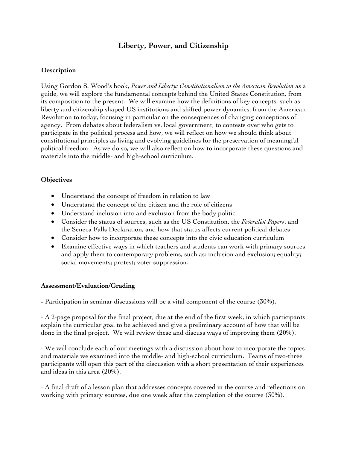# **Liberty, Power, and Citizenship**

## **Description**

Using Gordon S. Wood's book, *Power and Liberty: Constitutionalism in the American Revolution* as a guide, we will explore the fundamental concepts behind the United States Constitution, from its composition to the present. We will examine how the definitions of key concepts, such as liberty and citizenship shaped US institutions and shifted power dynamics, from the American Revolution to today, focusing in particular on the consequences of changing conceptions of agency. From debates about federalism vs. local government, to contests over who gets to participate in the political process and how, we will reflect on how we should think about constitutional principles as living and evolving guidelines for the preservation of meaningful political freedom. As we do so, we will also reflect on how to incorporate these questions and materials into the middle- and high-school curriculum.

## **Objectives**

- Understand the concept of freedom in relation to law
- Understand the concept of the citizen and the role of citizens
- Understand inclusion into and exclusion from the body politic
- Consider the status of sources, such as the US Constitution, the *Federalist Papers*, and the Seneca Falls Declaration, and how that status affects current political debates
- Consider how to incorporate these concepts into the civic education curriculum
- Examine effective ways in which teachers and students can work with primary sources and apply them to contemporary problems, such as: inclusion and exclusion; equality; social movements; protest; voter suppression.

## **Assessment/Evaluation/Grading**

- Participation in seminar discussions will be a vital component of the course (30%).

- A 2-page proposal for the final project, due at the end of the first week, in which participants explain the curricular goal to be achieved and give a preliminary account of how that will be done in the final project. We will review these and discuss ways of improving them (20%).

- We will conclude each of our meetings with a discussion about how to incorporate the topics and materials we examined into the middle- and high-school curriculum. Teams of two-three participants will open this part of the discussion with a short presentation of their experiences and ideas in this area (20%).

- A final draft of a lesson plan that addresses concepts covered in the course and reflections on working with primary sources, due one week after the completion of the course (30%).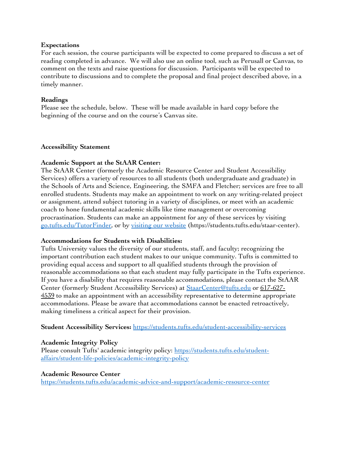#### **Expectations**

For each session, the course participants will be expected to come prepared to discuss a set of reading completed in advance. We will also use an online tool, such as Perusall or Canvas, to comment on the texts and raise questions for discussion. Participants will be expected to contribute to discussions and to complete the proposal and final project described above, in a timely manner.

#### **Readings**

Please see the schedule, below. These will be made available in hard copy before the beginning of the course and on the course's Canvas site.

#### **Accessibility Statement**

#### **Academic Support at the StAAR Center:**

The StAAR Center (formerly the Academic Resource Center and Student Accessibility Services) offers a variety of resources to all students (both undergraduate and graduate) in the Schools of Arts and Science, Engineering, the SMFA and Fletcher; services are free to all enrolled students. Students may make an appointment to work on any writing-related project or assignment, attend subject tutoring in a variety of disciplines, or meet with an academic coach to hone fundamental academic skills like time management or overcoming procrastination. Students can make an appointment for any of these services by visiting go.tufts.edu/TutorFinder, or by visiting our website (https://students.tufts.edu/staar-center).

#### **Accommodations for Students with Disabilities:**

Tufts University values the diversity of our students, staff, and faculty; recognizing the important contribution each student makes to our unique community. Tufts is committed to providing equal access and support to all qualified students through the provision of reasonable accommodations so that each student may fully participate in the Tufts experience. If you have a disability that requires reasonable accommodations, please contact the StAAR Center (formerly Student Accessibility Services) at StaarCenter@tufts.edu or 617-627- 4539 to make an appointment with an accessibility representative to determine appropriate accommodations. Please be aware that accommodations cannot be enacted retroactively, making timeliness a critical aspect for their provision.

#### **Student Accessibility Services:** https://students.tufts.edu/student-accessibility-services

#### **Academic Integrity Policy**

Please consult Tufts' academic integrity policy: https://students.tufts.edu/studentaffairs/student-life-policies/academic-integrity-policy

#### **Academic Resource Center**

https://students.tufts.edu/academic-advice-and-support/academic-resource-center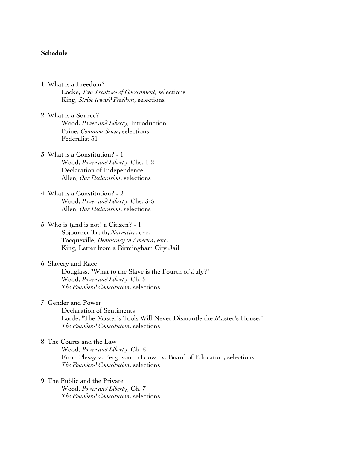### **Schedule**

1. What is a Freedom?

Locke, *Two Treatises of Government*, selections King, *Stride toward Freedom*, selections

- 2. What is a Source? Wood, *Power and Liberty*, Introduction Paine, *Common Sense*, selections Federalist 51
- 3. What is a Constitution? 1 Wood, *Power and Liberty*, Chs. 1-2 Declaration of Independence Allen, *Our Declaration*, selections
- 4. What is a Constitution? 2 Wood, *Power and Liberty*, Chs. 3-5 Allen, *Our Declaration*, selections

#### 5. Who is (and is not) a Citizen? - 1

- Sojourner Truth, *Narrative*, exc. Tocqueville, *Democracy in America*, exc. King, Letter from a Birmingham City Jail
- 6. Slavery and Race

Douglass, "What to the Slave is the Fourth of July?" Wood, *Power and Liberty*, Ch. 5 *The Founders' Constitution*, selections

7. Gender and Power

Declaration of Sentiments Lorde, "The Master's Tools Will Never Dismantle the Master's House." *The Founders' Constitution*, selections

### 8. The Courts and the Law

Wood, *Power and Liberty*, Ch. 6 From Plessy v. Ferguson to Brown v. Board of Education, selections. *The Founders' Constitution*, selections

9. The Public and the Private Wood, *Power and Liberty*, Ch. 7 *The Founders' Constitution*, selections